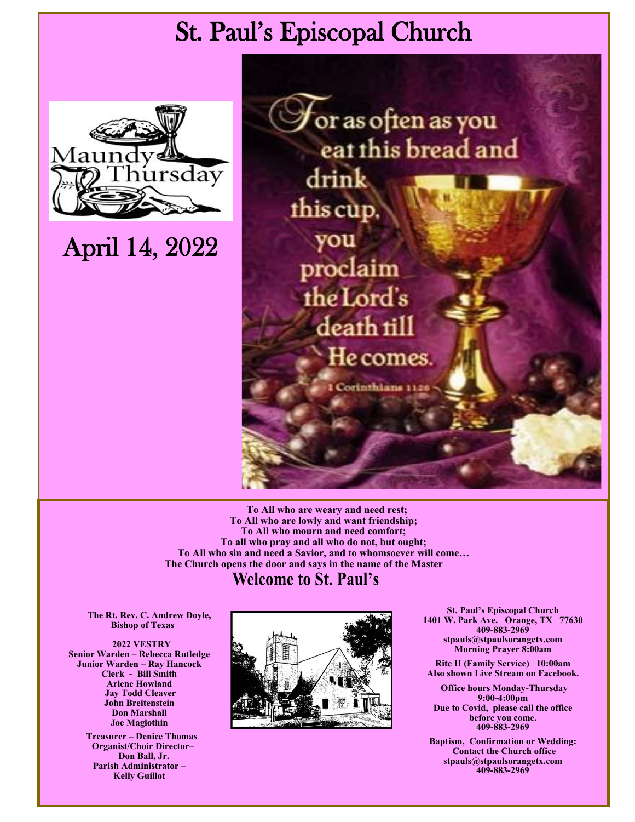# St. Paul's Episcopal Church



April 14, 2022

 $\sqrt{t}$  or as often as you eat this bread and drink this cup. you proclaim the Lord's death till He comes. Corinthians 1

 **To All who are weary and need rest; To All who are lowly and want friendship; To All who mourn and need comfort; To all who pray and all who do not, but ought; To All who sin and need a Savior, and to whomsoever will come… The Church opens the door and says in the name of the Master**

## **Welcome to St. Paul's**

 **The Rt. Rev. C. Andrew Doyle, Bishop of Texas** 

 **2022 VESTRY Senior Warden – Rebecca Rutledge Junior Warden – Ray Hancock Clerk - Bill Smith Arlene Howland Jay Todd Cleaver John Breitenstein Don Marshall Joe Maglothin** 

> **Treasurer – Denice Thomas Organist/Choir Director– Don Ball, Jr. Parish Administrator – Kelly Guillot**



**St. Paul's Episcopal Church 1401 W. Park Ave. Orange, TX 77630 409-883-2969 stpauls@stpaulsorangetx.com Morning Prayer 8:00am**

**Rite II (Family Service) 10:00am Also shown Live Stream on Facebook.**

 **Office hours Monday-Thursday 9:00-4:00pm Due to Covid, please call the office before you come. 409-883-2969**

**Baptism, Confirmation or Wedding: Contact the Church office stpauls@stpaulsorangetx.com 409-883-2969**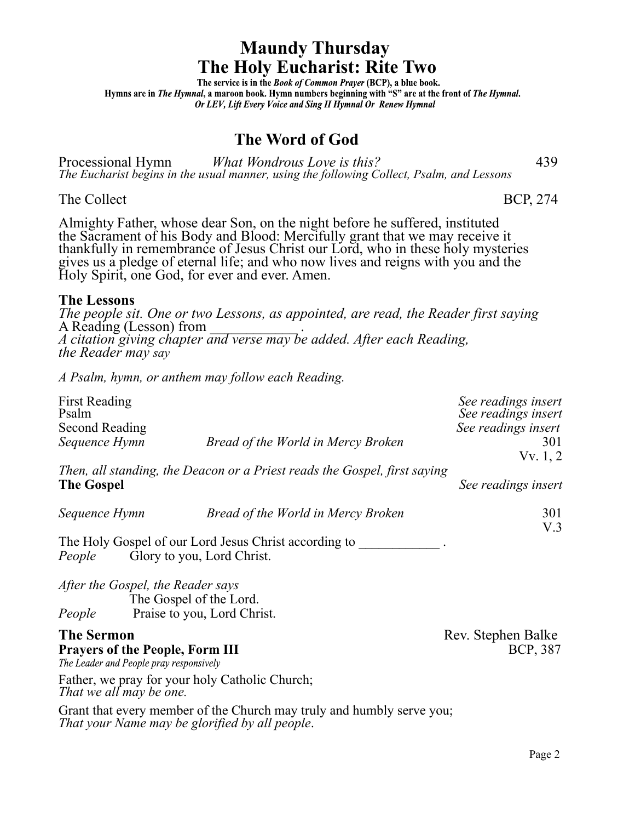# **Maundy Thursday The Holy Eucharist: Rite Two**<br>The service is in the *Book of Common Prayer* (BCP), a blue book.

Hymns are in *The Hymnal*, a maroon book. Hymn numbers beginning with "S" are at the front of *The Hymnal*. Or LEV, Lift Every Voice and Sing II Hymnal Or Renew Hymnal

## **The Word of God**

Processional Hymn *What Wondrous Love is this?* 439 *The Eucharist begins in the usual manner, using the following Collect, Psalm, and Lessons* 

The Collect BCP, 274

Almighty Father, whose dear Son, on the night before he suffered, instituted the Sacrament of his Body and Blood: Mercifully grant that we may receive it thankfully in remembrance of Jesus Christ our Lord, who in these holy mysteries gives us a pledge of eternal life; and who now lives and reigns with you and the Holy Spirit, one God, for ever and ever. Amen.

### **The Lessons**

*The people sit. One or two Lessons, as appointed, are read, the Reader first saying* A Reading (Lesson) from *A citation giving chapter and verse may be added. After each Reading, the Reader may say* 

*A Psalm, hymn, or anthem may follow each Reading.* 

| First Reading<br>Psalm<br><b>Second Reading</b><br>Sequence Hymn                                       | Bread of the World in Mercy Broken                                        | See readings insert<br>See readings insert<br>See readings insert<br>301 |
|--------------------------------------------------------------------------------------------------------|---------------------------------------------------------------------------|--------------------------------------------------------------------------|
| <b>The Gospel</b>                                                                                      | Then, all standing, the Deacon or a Priest reads the Gospel, first saying | Vv. 1, 2<br>See readings insert                                          |
| Sequence Hymn                                                                                          | Bread of the World in Mercy Broken                                        | 301<br>V.3                                                               |
| Glory to you, Lord Christ.<br>People                                                                   | The Holy Gospel of our Lord Jesus Christ according to                     |                                                                          |
| After the Gospel, the Reader says<br>The Gospel of the Lord.<br>People                                 | Praise to you, Lord Christ.                                               |                                                                          |
| <b>The Sermon</b><br><b>Prayers of the People, Form III</b><br>The Leader and People pray responsively |                                                                           | Rev. Stephen Balke<br>BCP, 387                                           |
| Father, we pray for your holy Catholic Church;<br>That we all may be one.                              |                                                                           |                                                                          |
|                                                                                                        | Grant that every member of the Church may truly and humbly serve you;     |                                                                          |

*That your Name may be glorified by all people*.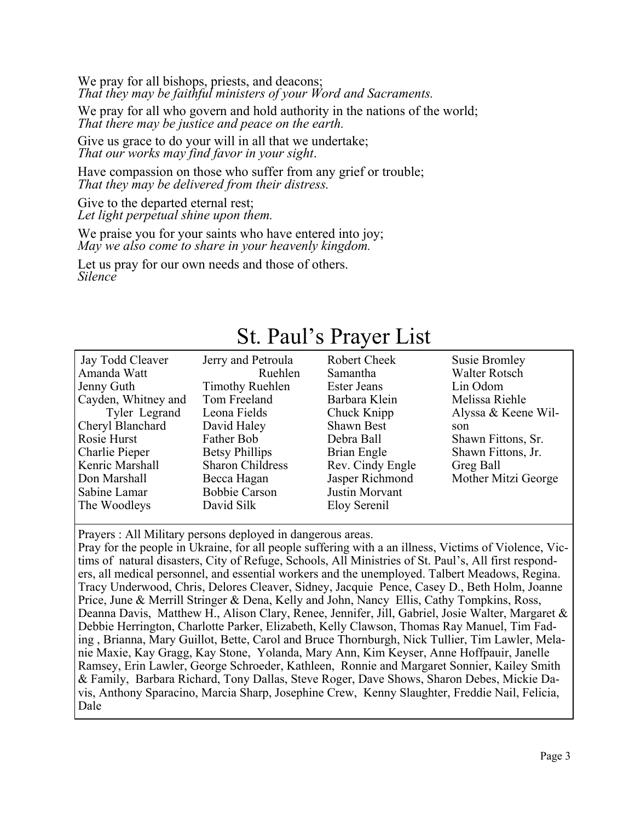We pray for all bishops, priests, and deacons; *That they may be faithful ministers of your Word and Sacraments.* 

We pray for all who govern and hold authority in the nations of the world; *That there may be justice and peace on the earth.* 

Give us grace to do your will in all that we undertake; *That our works may find favor in your sight*.

Have compassion on those who suffer from any grief or trouble; *That they may be delivered from their distress.* 

Give to the departed eternal rest; *Let light perpetual shine upon them.* 

We praise you for your saints who have entered into joy; *May we also come to share in your heavenly kingdom.* 

Let us pray for our own needs and those of others. *Silence* 

| Jay Todd Cleaver    | Jerry and Petroula      | Robert Cheek       | Susie Bromley        |
|---------------------|-------------------------|--------------------|----------------------|
| Amanda Watt         | Ruehlen                 | Samantha           | <b>Walter Rotsch</b> |
| Jenny Guth          | <b>Timothy Ruehlen</b>  | <b>Ester Jeans</b> | Lin Odom             |
| Cayden, Whitney and | Tom Freeland            | Barbara Klein      | Melissa Riehle       |
| Tyler Legrand       | Leona Fields            | Chuck Knipp        | Alyssa & Keene Wil-  |
| Cheryl Blanchard    | David Haley             | <b>Shawn Best</b>  | son                  |
| Rosie Hurst         | Father Bob              | Debra Ball         | Shawn Fittons, Sr.   |
| Charlie Pieper      | <b>Betsy Phillips</b>   | Brian Engle        | Shawn Fittons, Jr.   |
| Kenric Marshall     | <b>Sharon Childress</b> | Rev. Cindy Engle   | Greg Ball            |
| Don Marshall        | Becca Hagan             | Jasper Richmond    | Mother Mitzi George  |
| Sabine Lamar        | <b>Bobbie Carson</b>    | Justin Morvant     |                      |
| The Woodleys        | David Silk              | Eloy Serenil       |                      |

# St. Paul's Prayer List

Prayers : All Military persons deployed in dangerous areas.

Pray for the people in Ukraine, for all people suffering with a an illness, Victims of Violence, Victims of natural disasters, City of Refuge, Schools, All Ministries of St. Paul's, All first responders, all medical personnel, and essential workers and the unemployed. Talbert Meadows, Regina. Tracy Underwood, Chris, Delores Cleaver, Sidney, Jacquie Pence, Casey D., Beth Holm, Joanne Price, June & Merrill Stringer & Dena, Kelly and John, Nancy Ellis, Cathy Tompkins, Ross, Deanna Davis, Matthew H., Alison Clary, Renee, Jennifer, Jill, Gabriel, Josie Walter, Margaret & Debbie Herrington, Charlotte Parker, Elizabeth, Kelly Clawson, Thomas Ray Manuel, Tim Fading , Brianna, Mary Guillot, Bette, Carol and Bruce Thornburgh, Nick Tullier, Tim Lawler, Melanie Maxie, Kay Gragg, Kay Stone, Yolanda, Mary Ann, Kim Keyser, Anne Hoffpauir, Janelle Ramsey, Erin Lawler, George Schroeder, Kathleen, Ronnie and Margaret Sonnier, Kailey Smith & Family, Barbara Richard, Tony Dallas, Steve Roger, Dave Shows, Sharon Debes, Mickie Davis, Anthony Sparacino, Marcia Sharp, Josephine Crew, Kenny Slaughter, Freddie Nail, Felicia, Dale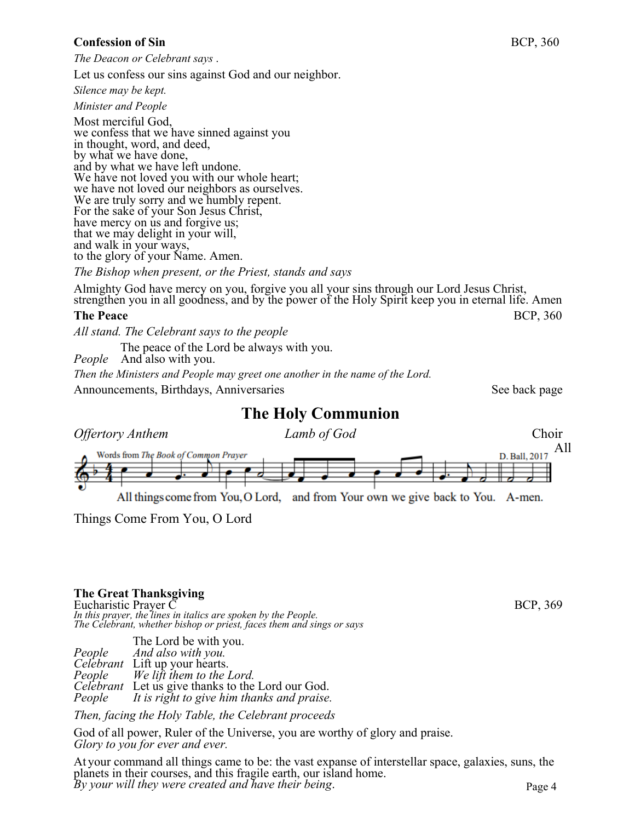#### **Confession of Sin** BCP, 360

*The Deacon or Celebrant says* .

Let us confess our sins against God and our neighbor.

*Silence may be kept.* 

#### *Minister and People*

Most merciful God, we confess that we have sinned against you in thought, word, and deed, by what we have done, and by what we have left undone. We have not loved you with our whole heart; we have not loved our neighbors as ourselves. We are truly sorry and we humbly repent. For the sake of your Son Jesus Christ, have mercy on us and forgive us; that we may delight in your will, and walk in your ways, to the glory of your Name. Amen.

*The Bishop when present, or the Priest, stands and says* 

Almighty God have mercy on you, forgive you all your sins through our Lord Jesus Christ, strengthen you in all goodness, and by the power of the Holy Spirit keep you in eternal life. Amen

#### **The Peace** BCP, 360

*All stand. The Celebrant says to the people* 

The peace of the Lord be always with you. *People* And also with you. *Then the Ministers and People may greet one another in the name of the Lord.*  Announcements, Birthdays, Anniversaries See back page



Things Come From You, O Lord

#### **The Great Thanksgiving**

Eucharistic Prayer C and BCP, 369 *In this prayer, the lines in italics are spoken by the People. The Celebrant, whether bishop or priest, faces them and sings or says* 

 The Lord be with you. *People And also with you. Celebrant* Lift up your hearts. *We lift them to the Lord. Celebrant* Let us give thanks to the Lord our God. *People It is right to give him thanks and praise.* 

*Then, facing the Holy Table, the Celebrant proceeds* 

God of all power, Ruler of the Universe, you are worthy of glory and praise. *Glory to you for ever and ever.* 

At your command all things came to be: the vast expanse of interstellar space, galaxies, suns, the planets in their courses, and this fragile earth, our island home. *By your will they were created and have their being.* The same of the page 4

## **The Holy Communion**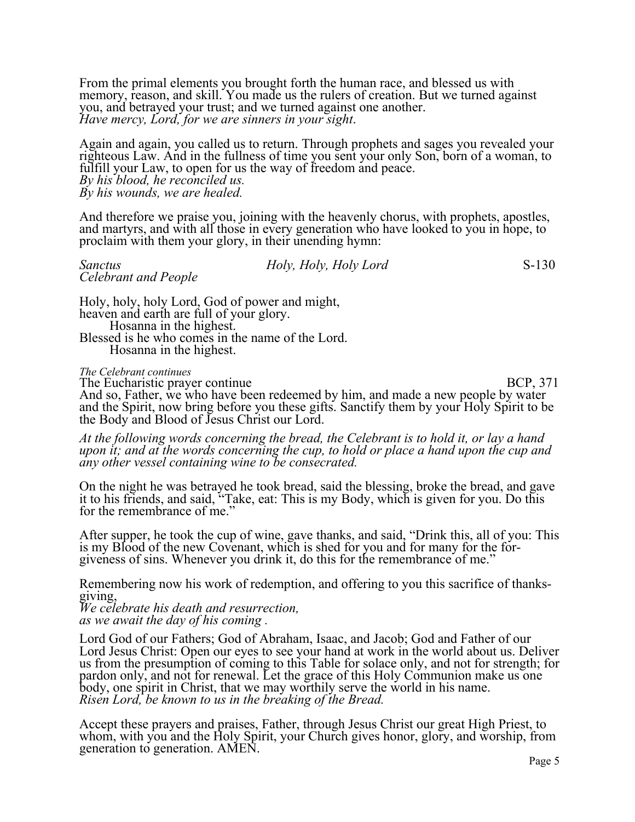From the primal elements you brought forth the human race, and blessed us with memory, reason, and skill. You made us the rulers of creation. But we turned against you, and betrayed your trust; and we turned against one another. *Have mercy, Lord, for we are sinners in your sight*.

Again and again, you called us to return. Through prophets and sages you revealed your righteous Law. And in the fullness of time you sent your only Son, born of a woman, to fulfill your Law, to open for us the way of freedom and peace. *By his blood, he reconciled us. By his wounds, we are healed.* 

And therefore we praise you, joining with the heavenly chorus, with prophets, apostles, and martyrs, and with all those in every generation who have looked to you in hope, to proclaim with them your glory, in their unending hymn:

*Sanctus Holy, Holy, Holy Lord* S-130 *Celebrant and People* 

Holy, holy, holy Lord, God of power and might, heaven and earth are full of your glory. Hosanna in the highest. Blessed is he who comes in the name of the Lord. Hosanna in the highest.

*The Celebrant continues*

The Eucharistic prayer continue and the BCP, 371 And so, Father, we who have been redeemed by him, and made a new people by water and the Spirit, now bring before you these gifts. Sanctify them by your Holy Spirit to be the Body and Blood of Jesus Christ our Lord.

*At the following words concerning the bread, the Celebrant is to hold it, or lay a hand upon it; and at the words concerning the cup, to hold or place a hand upon the cup and any other vessel containing wine to be consecrated.* 

On the night he was betrayed he took bread, said the blessing, broke the bread, and gave it to his friends, and said, "Take, eat: This is my Body, which is given for you. Do this for the remembrance of me."

After supper, he took the cup of wine, gave thanks, and said, "Drink this, all of you: This is my Blood of the new Covenant, which is shed for you and for many for the forgiveness of sins. Whenever you drink it, do this for the remembrance of me."

Remembering now his work of redemption, and offering to you this sacrifice of thanksgiving,

*We celebrate his death and resurrection, as we await the day of his coming .*

Lord God of our Fathers; God of Abraham, Isaac, and Jacob; God and Father of our Lord Jesus Christ: Open our eyes to see your hand at work in the world about us. Deliver us from the presumption of coming to this Table for solace only, and not for strength; for pardon only, and not for renewal. Let the grace of this Holy Communion make us one body, one spirit in Christ, that we may worthily serve the world in his name. *Risen Lord, be known to us in the breaking of the Bread.* 

Accept these prayers and praises, Father, through Jesus Christ our great High Priest, to whom, with you and the Holy Spirit, your Church gives honor, glory, and worship, from generation to generation. AMEN.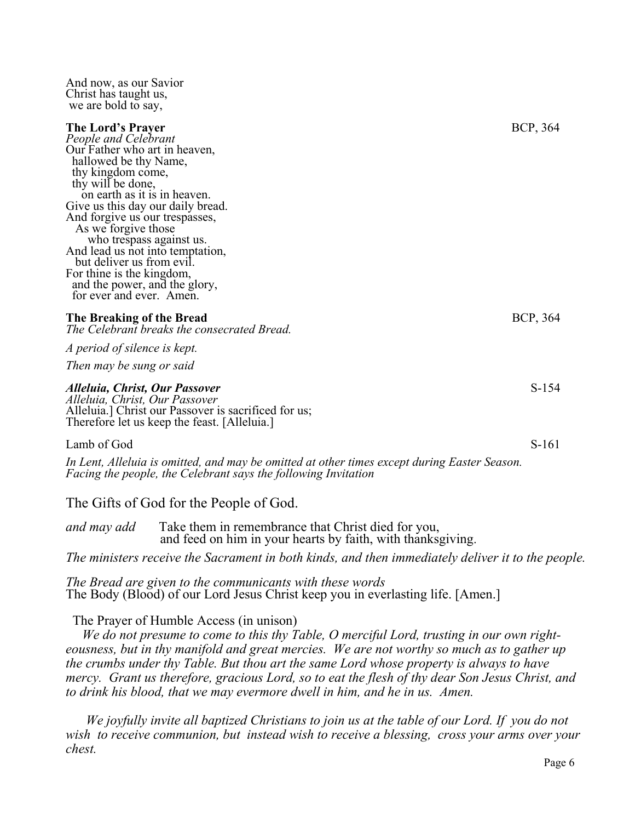#### And now, as our Savior Christ has taught us, we are bold to say,

#### **The Lord's Prayer**  BCP, 364

*People and Celebrant*  Our Father who art in heaven, hallowed be thy Name, thy kingdom come, thy will be done, on earth as it is in heaven. Give us this day our daily bread. And forgive us our trespasses, As we forgive those who trespass against us. And lead us not into temptation, but deliver us from evil. For thine is the kingdom, and the power, and the glory, for ever and ever. Amen.

**The Breaking of the Bread** BCP, 364 *The Celebrant breaks the consecrated Bread.* 

*A period of silence is kept.* 

*Then may be sung or said* 

#### *Alleluia, Christ, Our Passover* S-154

*Alleluia, Christ, Our Passover* Alleluia.] Christ our Passover is sacrificed for us; Therefore let us keep the feast. [Alleluia.]

#### Lamb of God S-161

*In Lent, Alleluia is omitted, and may be omitted at other times except during Easter Season. Facing the people, the Celebrant says the following Invitation* 

The Gifts of God for the People of God.

| and may add | Take them in remembrance that Christ died for you,          |
|-------------|-------------------------------------------------------------|
|             | and feed on him in your hearts by faith, with thanksgiving. |

*The ministers receive the Sacrament in both kinds, and then immediately deliver it to the people.* 

*The Bread are given to the communicants with these words*  The Body (Blood) of our Lord Jesus Christ keep you in everlasting life. [Amen.]

The Prayer of Humble Access (in unison)

*We do not presume to come to this thy Table, O merciful Lord, trusting in our own righteousness, but in thy manifold and great mercies. We are not worthy so much as to gather up the crumbs under thy Table. But thou art the same Lord whose property is always to have mercy. Grant us therefore, gracious Lord, so to eat the flesh of thy dear Son Jesus Christ, and to drink his blood, that we may evermore dwell in him, and he in us. Amen.*

 *We joyfully invite all baptized Christians to join us at the table of our Lord. If you do not wish to receive communion, but instead wish to receive a blessing, cross your arms over your chest.* 

Page 6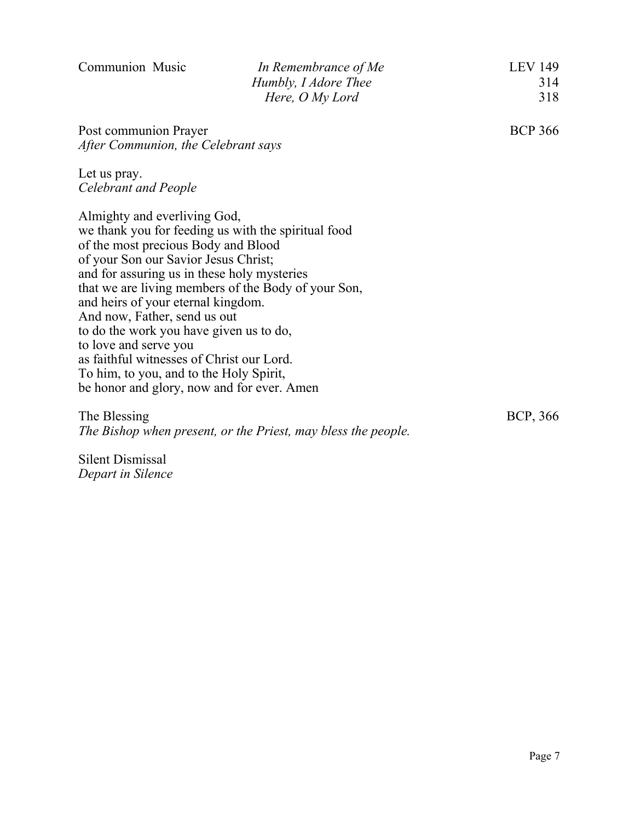| Communion Music                                                                     | In Remembrance of Me | <b>LEV 149</b> |
|-------------------------------------------------------------------------------------|----------------------|----------------|
|                                                                                     | Humbly, I Adore Thee | 314            |
|                                                                                     | Here, O My Lord      | 318            |
| Post communion Prayer<br>After Communion, the Celebrant says                        |                      | <b>BCP 366</b> |
| Let us pray.                                                                        |                      |                |
| Celebrant and People                                                                |                      |                |
| Almighty and everliving God,<br>we thank you for feeding us with the spiritual food |                      |                |

of the most precious Body and Blood of your Son our Savior Jesus Christ; and for assuring us in these holy mysteries that we are living members of the Body of your Son, and heirs of your eternal kingdom. And now, Father, send us out to do the work you have given us to do, to love and serve you as faithful witnesses of Christ our Lord. To him, to you, and to the Holy Spirit, be honor and glory, now and for ever. Amen

The Blessing BCP, 366 *The Bishop when present, or the Priest, may bless the people.* 

Silent Dismissal *Depart in Silence*